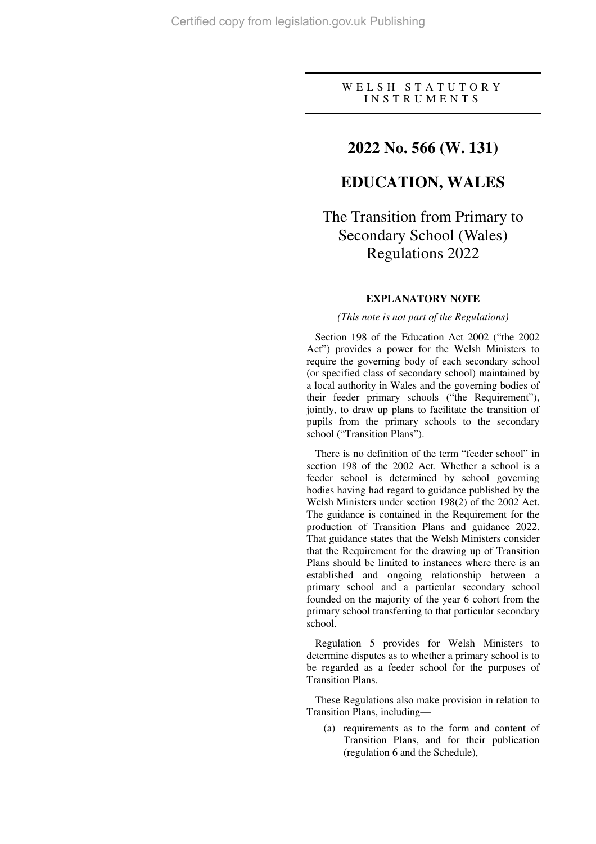#### W E L S H S T A T U T O R Y I N S T R U M E N T S

### **2022 No. 566 (W. 131)**

## **EDUCATION, WALES**

# The Transition from Primary to Secondary School (Wales) Regulations 2022

#### **EXPLANATORY NOTE**

#### *(This note is not part of the Regulations)*

Section 198 of the Education Act 2002 ("the 2002 Act") provides a power for the Welsh Ministers to require the governing body of each secondary school (or specified class of secondary school) maintained by a local authority in Wales and the governing bodies of their feeder primary schools ("the Requirement"), jointly, to draw up plans to facilitate the transition of pupils from the primary schools to the secondary school ("Transition Plans").

There is no definition of the term "feeder school" in section 198 of the 2002 Act. Whether a school is a feeder school is determined by school governing bodies having had regard to guidance published by the Welsh Ministers under section 198(2) of the 2002 Act. The guidance is contained in the Requirement for the production of Transition Plans and guidance 2022. That guidance states that the Welsh Ministers consider that the Requirement for the drawing up of Transition Plans should be limited to instances where there is an established and ongoing relationship between a primary school and a particular secondary school founded on the majority of the year 6 cohort from the primary school transferring to that particular secondary school.

Regulation 5 provides for Welsh Ministers to determine disputes as to whether a primary school is to be regarded as a feeder school for the purposes of Transition Plans.

These Regulations also make provision in relation to Transition Plans, including—

(a) requirements as to the form and content of Transition Plans, and for their publication (regulation 6 and the Schedule),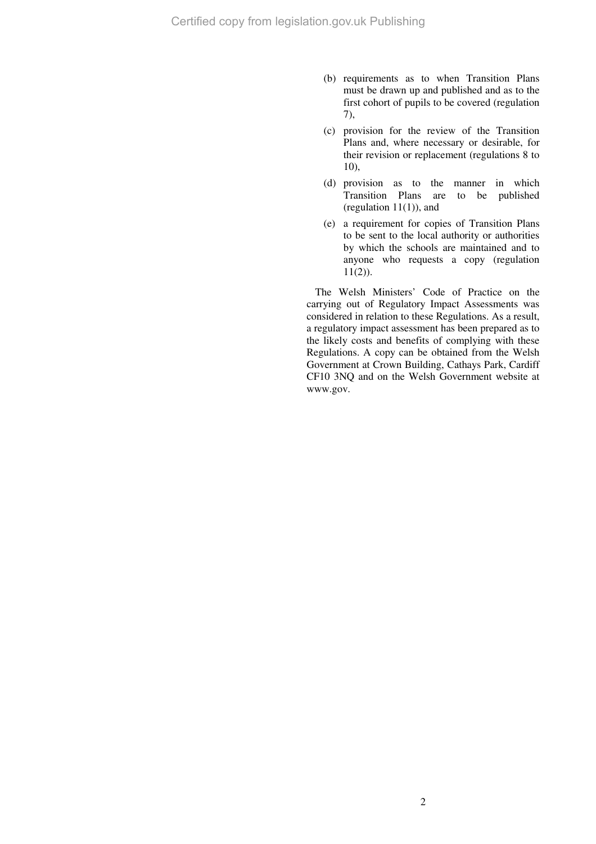- (b) requirements as to when Transition Plans must be drawn up and published and as to the first cohort of pupils to be covered (regulation 7),
- (c) provision for the review of the Transition Plans and, where necessary or desirable, for their revision or replacement (regulations 8 to 10),
- (d) provision as to the manner in which Transition Plans are to be published (regulation  $11(1)$ ), and
- (e) a requirement for copies of Transition Plans to be sent to the local authority or authorities by which the schools are maintained and to anyone who requests a copy (regulation  $11(2)$ ).

The Welsh Ministers' Code of Practice on the carrying out of Regulatory Impact Assessments was considered in relation to these Regulations. As a result, a regulatory impact assessment has been prepared as to the likely costs and benefits of complying with these Regulations. A copy can be obtained from the Welsh Government at Crown Building, Cathays Park, Cardiff CF10 3NQ and on the Welsh Government website at www.gov.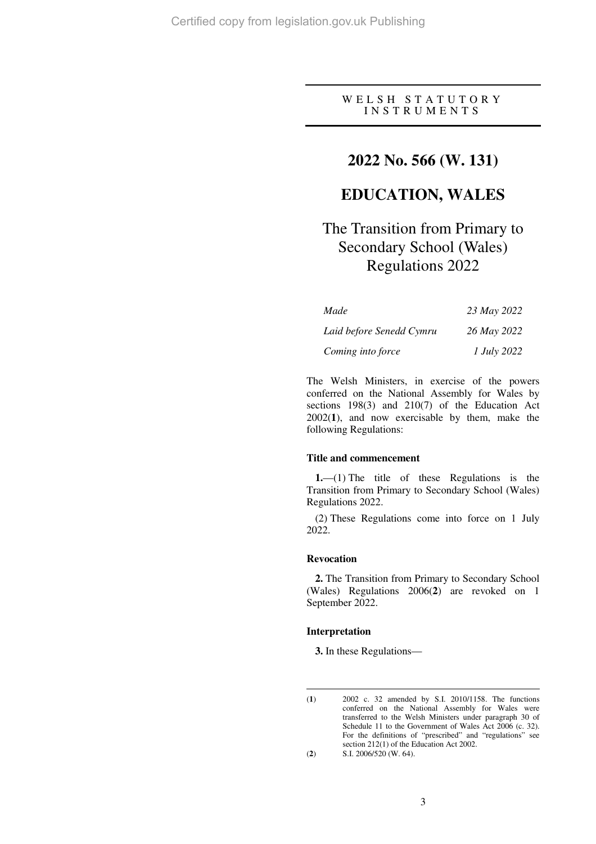#### W E L S H S T A T U T O R Y I N S T R U M E N T S

## **2022 No. 566 (W. 131)**

## **EDUCATION, WALES**

# The Transition from Primary to Secondary School (Wales) Regulations 2022

| Made                     | 23 May 2022 |
|--------------------------|-------------|
| Laid before Senedd Cymru | 26 May 2022 |
| Coming into force        | 1 July 2022 |

The Welsh Ministers, in exercise of the powers conferred on the National Assembly for Wales by sections 198(3) and 210(7) of the Education Act 2002(**1**), and now exercisable by them, make the following Regulations:

#### **Title and commencement**

**1.**—(1) The title of these Regulations is the Transition from Primary to Secondary School (Wales) Regulations 2022.

(2) These Regulations come into force on 1 July 2022.

#### **Revocation**

**2.** The Transition from Primary to Secondary School (Wales) Regulations 2006(**2**) are revoked on 1 September 2022.

#### **Interpretation**

**3.** In these Regulations—

 $\overline{a}$ (**1**) 2002 c. 32 amended by S.I. 2010/1158. The functions conferred on the National Assembly for Wales were transferred to the Welsh Ministers under paragraph 30 of Schedule 11 to the Government of Wales Act 2006 (c. 32). For the definitions of "prescribed" and "regulations" see section 212(1) of the Education Act 2002. (**2**) S.I. 2006/520 (W. 64).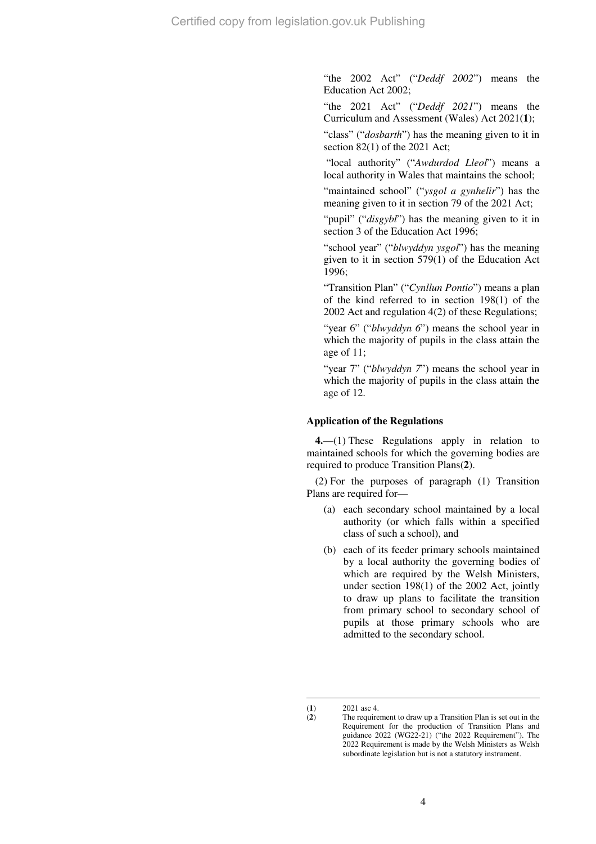"the 2002 Act" ("*Deddf 2002*") means the Education Act 2002;

"the 2021 Act" ("*Deddf 2021*") means the Curriculum and Assessment (Wales) Act 2021(**1**);

"class" ("*dosbarth*") has the meaning given to it in section 82(1) of the 2021 Act;

 "local authority" ("*Awdurdod Lleol*") means a local authority in Wales that maintains the school;

"maintained school" ("*ysgol a gynhelir*") has the meaning given to it in section 79 of the 2021 Act;

"pupil" ("*disgybl*") has the meaning given to it in section 3 of the Education Act 1996;

"school year" ("*blwyddyn ysgol*") has the meaning given to it in section 579(1) of the Education Act 1996;

"Transition Plan" ("*Cynllun Pontio*") means a plan of the kind referred to in section 198(1) of the 2002 Act and regulation 4(2) of these Regulations;

"year 6" ("*blwyddyn 6*") means the school year in which the majority of pupils in the class attain the age of 11;

"year 7" ("*blwyddyn 7*") means the school year in which the majority of pupils in the class attain the age of 12.

#### **Application of the Regulations**

**4.**—(1) These Regulations apply in relation to maintained schools for which the governing bodies are required to produce Transition Plans(**2**).

(2) For the purposes of paragraph (1) Transition Plans are required for—

- (a) each secondary school maintained by a local authority (or which falls within a specified class of such a school), and
- (b) each of its feeder primary schools maintained by a local authority the governing bodies of which are required by the Welsh Ministers, under section 198(1) of the 2002 Act, jointly to draw up plans to facilitate the transition from primary school to secondary school of pupils at those primary schools who are admitted to the secondary school.

 $\overline{a}$ 

<sup>(</sup>**1**) 2021 asc 4.<br>(**2**) The require

The requirement to draw up a Transition Plan is set out in the Requirement for the production of Transition Plans and guidance 2022 (WG22-21) ("the 2022 Requirement"). The 2022 Requirement is made by the Welsh Ministers as Welsh subordinate legislation but is not a statutory instrument.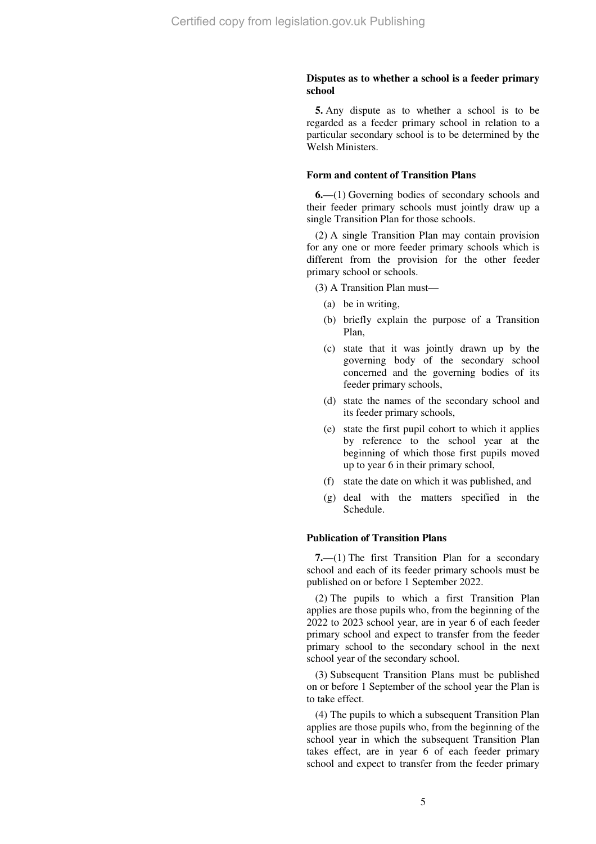#### **Disputes as to whether a school is a feeder primary school**

**5.** Any dispute as to whether a school is to be regarded as a feeder primary school in relation to a particular secondary school is to be determined by the Welsh Ministers.

#### **Form and content of Transition Plans**

**6.**—(1) Governing bodies of secondary schools and their feeder primary schools must jointly draw up a single Transition Plan for those schools.

(2) A single Transition Plan may contain provision for any one or more feeder primary schools which is different from the provision for the other feeder primary school or schools.

(3) A Transition Plan must—

- (a) be in writing,
- (b) briefly explain the purpose of a Transition Plan,
- (c) state that it was jointly drawn up by the governing body of the secondary school concerned and the governing bodies of its feeder primary schools,
- (d) state the names of the secondary school and its feeder primary schools,
- (e) state the first pupil cohort to which it applies by reference to the school year at the beginning of which those first pupils moved up to year 6 in their primary school,
- (f) state the date on which it was published, and
- (g) deal with the matters specified in the Schedule.

#### **Publication of Transition Plans**

**7.**—(1) The first Transition Plan for a secondary school and each of its feeder primary schools must be published on or before 1 September 2022.

(2) The pupils to which a first Transition Plan applies are those pupils who, from the beginning of the 2022 to 2023 school year, are in year 6 of each feeder primary school and expect to transfer from the feeder primary school to the secondary school in the next school year of the secondary school.

(3) Subsequent Transition Plans must be published on or before 1 September of the school year the Plan is to take effect.

(4) The pupils to which a subsequent Transition Plan applies are those pupils who, from the beginning of the school year in which the subsequent Transition Plan takes effect, are in year 6 of each feeder primary school and expect to transfer from the feeder primary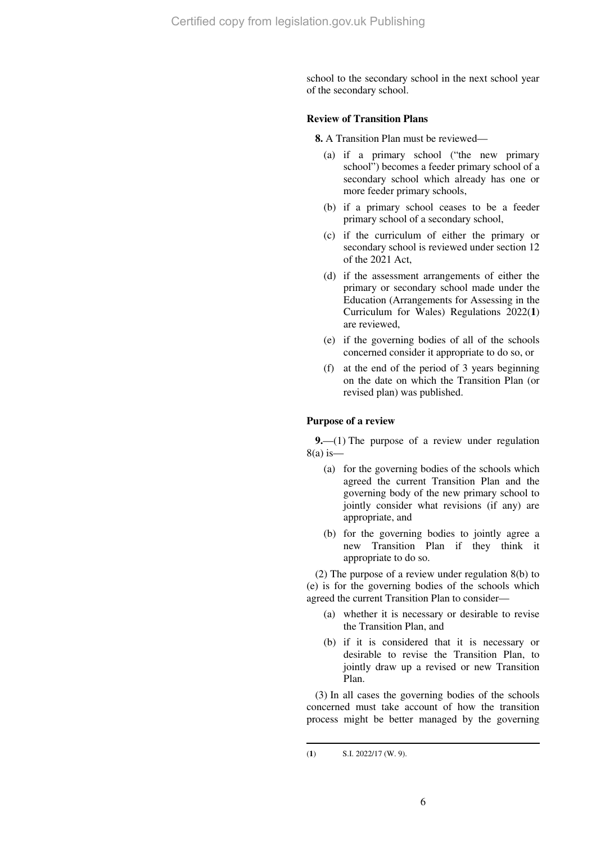school to the secondary school in the next school year of the secondary school.

#### **Review of Transition Plans**

**8.** A Transition Plan must be reviewed—

- (a) if a primary school ("the new primary school") becomes a feeder primary school of a secondary school which already has one or more feeder primary schools,
- (b) if a primary school ceases to be a feeder primary school of a secondary school,
- (c) if the curriculum of either the primary or secondary school is reviewed under section 12 of the 2021 Act,
- (d) if the assessment arrangements of either the primary or secondary school made under the Education (Arrangements for Assessing in the Curriculum for Wales) Regulations 2022(**1**) are reviewed,
- (e) if the governing bodies of all of the schools concerned consider it appropriate to do so, or
- (f) at the end of the period of 3 years beginning on the date on which the Transition Plan (or revised plan) was published.

#### **Purpose of a review**

**9.**—(1) The purpose of a review under regulation  $8(a)$  is —

- (a) for the governing bodies of the schools which agreed the current Transition Plan and the governing body of the new primary school to jointly consider what revisions (if any) are appropriate, and
- (b) for the governing bodies to jointly agree a new Transition Plan if they think it appropriate to do so.

(2) The purpose of a review under regulation 8(b) to (e) is for the governing bodies of the schools which agreed the current Transition Plan to consider—

- (a) whether it is necessary or desirable to revise the Transition Plan, and
- (b) if it is considered that it is necessary or desirable to revise the Transition Plan, to jointly draw up a revised or new Transition Plan.

(3) In all cases the governing bodies of the schools concerned must take account of how the transition process might be better managed by the governing

 $\overline{a}$ 

<sup>(</sup>**1**) S.I. 2022/17 (W. 9).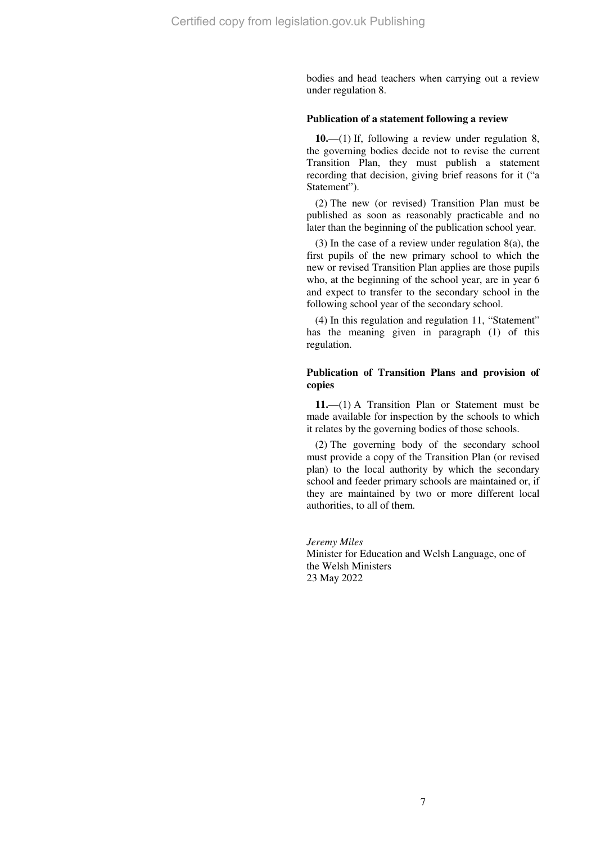bodies and head teachers when carrying out a review under regulation 8.

#### **Publication of a statement following a review**

**10.**—(1) If, following a review under regulation 8, the governing bodies decide not to revise the current Transition Plan, they must publish a statement recording that decision, giving brief reasons for it ("a Statement").

(2) The new (or revised) Transition Plan must be published as soon as reasonably practicable and no later than the beginning of the publication school year.

(3) In the case of a review under regulation 8(a), the first pupils of the new primary school to which the new or revised Transition Plan applies are those pupils who, at the beginning of the school year, are in year 6 and expect to transfer to the secondary school in the following school year of the secondary school.

(4) In this regulation and regulation 11, "Statement" has the meaning given in paragraph (1) of this regulation.

#### **Publication of Transition Plans and provision of copies**

**11.**—(1) A Transition Plan or Statement must be made available for inspection by the schools to which it relates by the governing bodies of those schools.

(2) The governing body of the secondary school must provide a copy of the Transition Plan (or revised plan) to the local authority by which the secondary school and feeder primary schools are maintained or, if they are maintained by two or more different local authorities, to all of them.

#### *Jeremy Miles*

Minister for Education and Welsh Language, one of the Welsh Ministers 23 May 2022